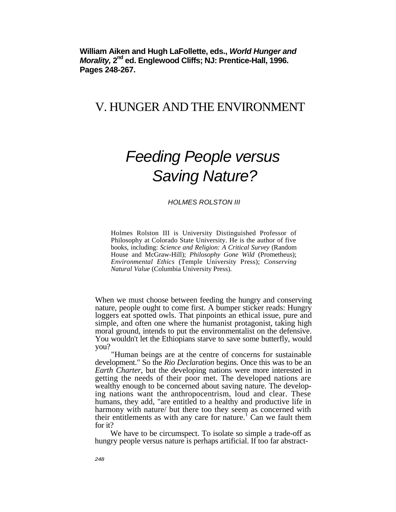**William Aiken and Hugh LaFollette, eds.,** *World Hunger and Morality,* 2<sup>nd</sup> ed. Englewood Cliffs; NJ: Prentice-Hall, 1996. **Pages 248-267.**

# V. HUNGER AND THE ENVIRONMENT

# *Feeding People versus Saving Nature?*

*HOLMES ROLSTON III*

Holmes Rolston III is University Distinguished Professor of Philosophy at Colorado State University. He is the author of five books, including: *Science and Religion: A Critical Survey* (Random House and McGraw-Hill); *Philosophy Gone Wild* (Prometheus); *Environmental Ethics* (Temple University Press); *Conserving Natural Value* (Columbia University Press).

When we must choose between feeding the hungry and conserving nature, people ought to come first. A bumper sticker reads: Hungry loggers eat spotted owls. That pinpoints an ethical issue, pure and simple, and often one where the humanist protagonist, taking high moral ground, intends to put the environmentalist on the defensive. You wouldn't let the Ethiopians starve to save some butterfly, would you?

"Human beings are at the centre of concerns for sustainable development." So the *Rio Declaration* begins. Once this was to be an *Earth Charter,* but the developing nations were more interested in getting the needs of their poor met. The developed nations are wealthy enough to be concerned about saving nature. The developing nations want the anthropocentrism, loud and clear. These humans, they add, "are entitled to a healthy and productive life in harmony with nature/ but there too they seem as concerned with their entitlements as with any care for nature.<sup>1</sup> Can we fault them for it?

We have to be circumspect. To isolate so simple a trade-off as hungry people versus nature is perhaps artificial. If too far abstract-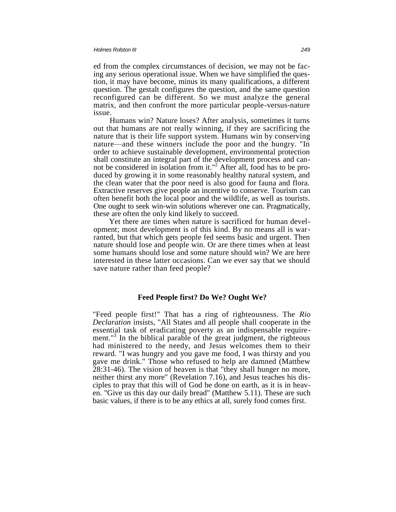#### *Holmes Rolston III 249*

ed from the complex circumstances of decision, we may not be facing any serious operational issue. When we have simplified the question, it may have become, minus its many qualifications, a different question. The gestalt configures the question, and the same question reconfigured can be different. So we must analyze the general matrix, and then confront the more particular people-versus-nature issue.

Humans win? Nature loses? After analysis, sometimes it turns out that humans are not really winning, if they are sacrificing the nature that is their life support system. Humans win by conserving nature—and these winners include the poor and the hungry. "In order to achieve sustainable development, environmental protection shall constitute an integral part of the development process and cannot be considered in isolation from it."<sup>2</sup> After all, food has to be produced by growing it in some reasonably healthy natural system, and the clean water that the poor need is also good for fauna and flora. Extractive reserves give people an incentive to conserve. Tourism can often benefit both the local poor and the wildlife, as well as tourists. One ought to seek win-win solutions wherever one can. Pragmatically, these are often the only kind likely to succeed.

Yet there are times when nature is sacrificed for human development; most development is of this kind. By no means all is warranted, but that which gets people fed seems basic and urgent. Then nature should lose and people win. Or are there times when at least some humans should lose and some nature should win? We are here interested in these latter occasions. Can we ever say that we should save nature rather than feed people?

## **Feed People first? Do We? Ought We?**

"Feed people first!" That has a ring of righteousness. The *Rio Declaration* insists, "All States and all people shall cooperate in the essential task of eradicating poverty as an indispensable requirement."<sup>3</sup> In the biblical parable of the great judgment, the righteous had ministered to the needy, and Jesus welcomes them to their reward. "I was hungry and you gave me food, I was thirsty and you gave me drink." Those who refused to help are damned (Matthew 28:31-46). The vision of heaven is that "they shall hunger no more, neither thirst any more" (Revelation 7.16), and Jesus teaches his disciples to pray that this will of God be done on earth, as it is in heaven. "Give us this day our daily bread" (Matthew 5.11). These are such basic values, if there is to be any ethics at all, surely food comes first.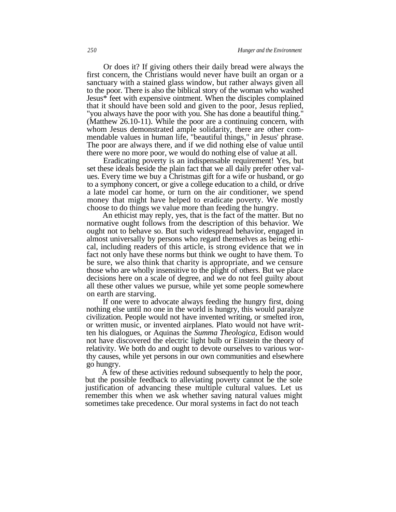Or does it? If giving others their daily bread were always the first concern, the Christians would never have built an organ or a sanctuary with a stained glass window, but rather always given all to the poor. There is also the biblical story of the woman who washed Jesus\* feet with expensive ointment. When the disciples complained that it should have been sold and given to the poor, Jesus replied, "you always have the poor with you. She has done a beautiful thing." (Matthew 26.10-11). While the poor are a continuing concern, with whom Jesus demonstrated ample solidarity, there are other commendable values in human life, "beautiful things," in Jesus' phrase. The poor are always there, and if we did nothing else of value until there were no more poor, we would do nothing else of value at all.

Eradicating poverty is an indispensable requirement! Yes, but set these ideals beside the plain fact that we all daily prefer other values. Every time we buy a Christmas gift for a wife or husband, or go to a symphony concert, or give a college education to a child, or drive a late model car home, or turn on the air conditioner, we spend money that might have helped to eradicate poverty. We mostly choose to do things we value more than feeding the hungry.

An ethicist may reply, yes, that is the fact of the matter. But no normative ought follows from the description of this behavior. We ought not to behave so. But such widespread behavior, engaged in almost universally by persons who regard themselves as being ethical, including readers of this article, is strong evidence that we in fact not only have these norms but think we ought to have them. To be sure, we also think that charity is appropriate, and we censure those who are wholly insensitive to the plight of others. But we place decisions here on a scale of degree, and we do not feel guilty about all these other values we pursue, while yet some people somewhere on earth are starving.

If one were to advocate always feeding the hungry first, doing nothing else until no one in the world is hungry, this would paralyze civilization. People would not have invented writing, or smelted iron, or written music, or invented airplanes. Plato would not have written his dialogues, or Aquinas the *Summa Theologica,* Edison would not have discovered the electric light bulb or Einstein the theory of relativity. We both do and ought to devote ourselves to various worthy causes, while yet persons in our own communities and elsewhere go hungry.

A few of these activities redound subsequently to help the poor, but the possible feedback to alleviating poverty cannot be the sole justification of advancing these multiple cultural values. Let us remember this when we ask whether saving natural values might sometimes take precedence. Our moral systems in fact do not teach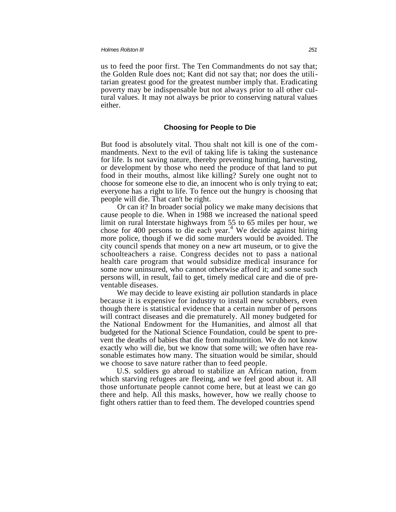us to feed the poor first. The Ten Commandments do not say that; the Golden Rule does not; Kant did not say that; nor does the utilitarian greatest good for the greatest number imply that. Eradicating poverty may be indispensable but not always prior to all other cultural values. It may not always be prior to conserving natural values either.

# **Choosing for People to Die**

But food is absolutely vital. Thou shalt not kill is one of the commandments. Next to the evil of taking life is taking the sustenance for life. Is not saving nature, thereby preventing hunting, harvesting, or development by those who need the produce of that land to put food in their mouths, almost like killing? Surely one ought not to choose for someone else to die, an innocent who is only trying to eat; everyone has a right to life. To fence out the hungry is choosing that people will die. That can't be right.

Or can it? In broader social policy we make many decisions that cause people to die. When in 1988 we increased the national speed limit on rural Interstate highways from 55 to 65 miles per hour, we chose for 400 persons to die each year.<sup>4</sup> We decide against hiring more police, though if we did some murders would be avoided. The city council spends that money on a new art museum, or to give the schoolteachers a raise. Congress decides not to pass a national health care program that would subsidize medical insurance for some now uninsured, who cannot otherwise afford it; and some such persons will, in result, fail to get, timely medical care and die of preventable diseases.

We may decide to leave existing air pollution standards in place because it is expensive for industry to install new scrubbers, even though there is statistical evidence that a certain number of persons will contract diseases and die prematurely. All money budgeted for the National Endowment for the Humanities, and almost all that budgeted for the National Science Foundation, could be spent to prevent the deaths of babies that die from malnutrition. We do not know exactly who will die, but we know that some will; we often have reasonable estimates how many. The situation would be similar, should we choose to save nature rather than to feed people.

U.S. soldiers go abroad to stabilize an African nation, from which starving refugees are fleeing, and we feel good about it. All those unfortunate people cannot come here, but at least we can go there and help. All this masks, however, how we really choose to fight others rattier than to feed them. The developed countries spend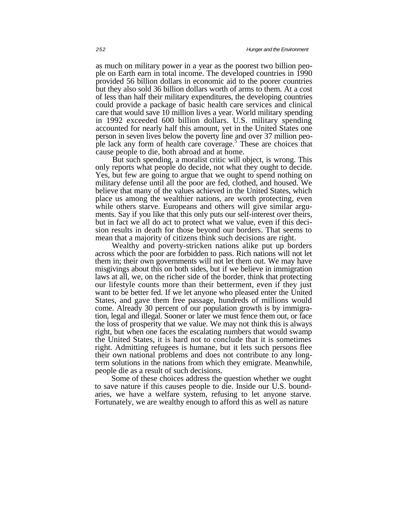as much on military power in a year as the poorest two billion people on Earth earn in total income. The developed countries in 1990 provided 56 billion dollars in economic aid to the poorer countries but they also sold 36 billion dollars worth of arms to them. At a cost of less than half their military expenditures, the developing countries could provide a package of basic health care services and clinical care that would save 10 million lives a year. World military spending in 1992 exceeded 600 billion dollars. U.S. military spending accounted for nearly half this amount, yet in the United States one person in seven lives below the poverty line and over 37 million people lack any form of health care coverage. <sup>5</sup> These are choices that cause people to die, both abroad and at home.

But such spending, a moralist critic will object, is wrong. This only reports what people do decide, not what they ought to decide. Yes, but few are going to argue that we ought to spend nothing on military defense until all the poor are fed, clothed, and housed. We believe that many of the values achieved in the United States, which place us among the wealthier nations, are worth protecting, even while others starve. Europeans and others will give similar arguments. Say if you like that this only puts our self-interest over theirs, but in fact we all do act to protect what we value, even if this decision results in death for those beyond our borders. That seems to mean that a majority of citizens think such decisions are right.

Wealthy and poverty-stricken nations alike put up borders across which the poor are forbidden to pass. Rich nations will not let them in; their own governments will not let them out. We may have misgivings about this on both sides, but if we believe in immigration laws at all, we, on the richer side of the border, think that protecting our lifestyle counts more than their betterment, even if they just want to be better fed. If we let anyone who pleased enter the United States, and gave them free passage, hundreds of millions would come. Already 30 percent of our population growth is by immigration, legal and illegal. Sooner or later we must fence them out, or face the loss of prosperity that we value. We may not think this is always right, but when one faces the escalating numbers that would swamp the United States, it is hard not to conclude that it is sometimes right. Admitting refugees is humane, but it lets such persons flee their own national problems and does not contribute to any longterm solutions in the nations from which they emigrate. Meanwhile, people die as a result of such decisions.

Some of these choices address the question whether we ought to save nature if this causes people to die. Inside our U.S. boundaries, we have a welfare system, refusing to let anyone starve. Fortunately, we are wealthy enough to afford this as well as nature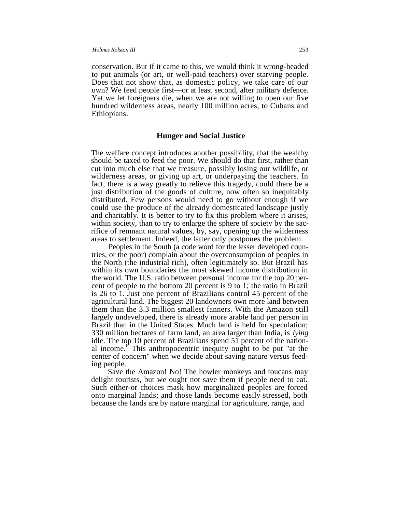conservation. But if it came to this, we would think it wrong-headed to put animals (or art, or well-paid teachers) over starving people. Does that not show that, as domestic policy, we take care of our own? We feed people first—or at least second, after military defence. Yet we let foreigners die, when we are not willing to open our five hundred wilderness areas, nearly 100 million acres, to Cubans and Ethiopians.

# **Hunger and Social Justice**

The welfare concept introduces another possibility, that the wealthy should be taxed to feed the poor. We should do that first, rather than cut into much else that we treasure, possibly losing our wildlife, or wilderness areas, or giving up art, or underpaying the teachers. In fact, there is a way greatly to relieve this tragedy, could there be a just distribution of the goods of culture, now often so inequitably distributed. Few persons would need to go without enough if we could use the produce of the already domesticated landscape justly and charitably. It is better to try to fix this problem where it arises, within society, than to try to enlarge the sphere of society by the sacrifice of remnant natural values, by, say, opening up the wilderness areas to settlement. Indeed, the latter only postpones the problem.

Peoples in the South (a code word for the lesser developed countries, or the poor) complain about the overconsumption of peoples in the North (the industrial rich), often legitimately so. But Brazil has within its own boundaries the most skewed income distribution in the world. The U.S. ratio between personal income for the top 20 percent of people to the bottom 20 percent is 9 to 1; the ratio in Brazil is 26 to 1. Just one percent of Brazilians control 45 percent of the agricultural land. The biggest 20 landowners own more land between them than the 3.3 million smallest fanners. With the Amazon still largely undeveloped, there is already more arable land per person in Brazil than in the United States. Much land is held for speculation; 330 million hectares of farm land, an area larger than India, is *lying*  idle. The top 10 percent of Brazilians spend 51 percent of the national income. $\sigma$  This anthropocentric inequity ought to be put "at the center of concern" when we decide about saving nature versus feeding people.

Save the Amazon! No! The howler monkeys and toucans may delight tourists, but we ought not save them if people need to eat. Such either-or choices mask how marginalized peoples are forced onto marginal lands; and those lands become easily stressed, both because the lands are by nature marginal for agriculture, range, and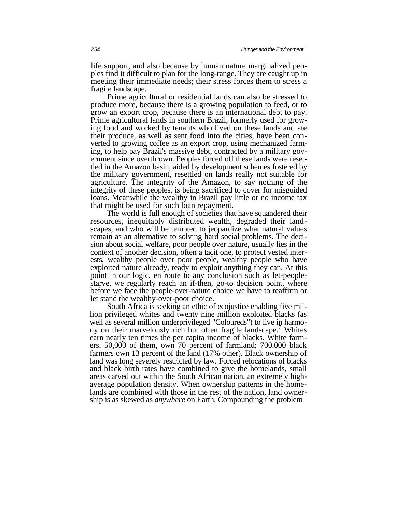life support, and also because by human nature marginalized peoples find it difficult to plan for the long-range. They are caught up in meeting their immediate needs; their stress forces them to stress a fragile landscape.

Prime agricultural or residential lands can also be stressed to produce more, because there is a growing population to feed, or to grow an export crop, because there is an international debt to pay. Prime agricultural lands in southern Brazil, formerly used for growing food and worked by tenants who lived on these lands and ate their produce, as well as sent food into the cities, have been converted to growing coffee as an export crop, using mechanized farming, to help pay Brazil's massive debt, contracted by a military government since overthrown. Peoples forced off these lands were resettled in the Amazon basin, aided by development schemes fostered by the military government, resettled on lands really not suitable for agriculture. The integrity of the Amazon, to say nothing of the integrity of these peoples, is being sacrificed to cover for misguided loans. Meanwhile the wealthy in Brazil pay little or no income tax that might be used for such loan repayment.

The world is full enough of societies that have squandered their resources, inequitably distributed wealth, degraded their landscapes, and who will be tempted to jeopardize what natural values remain as an alternative to solving hard social problems. The decision about social welfare, poor people over nature, usually lies in the context of another decision, often a tacit one, to protect vested interests, wealthy people over poor people, wealthy people who have exploited nature already, ready to exploit anything they can. At this point in our logic, en route to any conclusion such as let-peoplestarve, we regularly reach an if-then, go-to decision point, where before we face the people-over-nature choice we have to reaffirm or let stand the wealthy-over-poor choice.

South Africa is seeking an ethic of ecojustice enabling five million privileged whites and twenty nine million exploited blacks (as well as several million underprivileged "Coloureds") to live in harmony on their marvelously rich but often fragile landscape.<sup>7</sup> Whites earn nearly ten times the per capita income of blacks. White farmers, 50,000 of them, own 70 percent of farmland; 700,000 black farmers own 13 percent of the land (17% other). Black ownership of land was long severely restricted by law. Forced relocations of blacks and black birth rates have combined to give the homelands, small areas carved out within the South African nation, an extremely highaverage population density. When ownership patterns in the homelands are combined with those in the rest of the nation, land ownership is as skewed as *anywhere* on Earth. Compounding the problem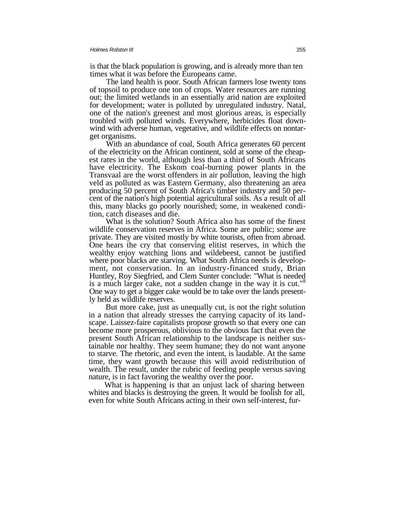is that the black population is growing, and is already more than ten times what it was before the Europeans came.

The land health is poor. South African farmers lose twenty tons of topsoil to produce one ton of crops. Water resources are running out; the limited wetlands in an essentially arid nation are exploited for development; water is polluted by unregulated industry. Natal, one of the nation's greenest and most glorious areas, is especially troubled with polluted winds. Everywhere, herbicides float downwind with adverse human, vegetative, and wildlife effects on nontarget organisms.

With an abundance of coal, South Africa generates 60 percent of the electricity on the African continent, sold at some of the cheapest rates in the world, although less than a third of South Africans have electricity. The Eskom coal-burning power plants in the Transvaal are the worst offenders in air pollution, leaving the high veld as polluted as was Eastern Germany, also threatening an area producing 50 percent of South Africa's timber industry and 50 percent of the nation's high potential agricultural soils. As a result of all this, many blacks go poorly nourished; some, in weakened condition, catch diseases and die.

What is the solution? South Africa also has some of the finest wildlife conservation reserves in Africa. Some are public; some are private. They are visited mostly by white tourists, often from abroad. One hears the cry that conserving elitist reserves, in which the wealthy enjoy watching lions and wildebeest, cannot be justified where poor blacks are starving. What South Africa needs is development, not conservation. In an industry-financed study, Brian Huntley, Roy Siegfried, and Clem Sunter conclude: "What is needed is a much larger cake, not a sudden change in the way it is cut."<sup>8</sup> One way to get a bigger cake would be to take over the lands presently held as wildlife reserves.

But more cake, just as unequally cut, is not the right solution in a nation that already stresses the carrying capacity of its landscape. Laissez-faire capitalists propose growth so that every one can become more prosperous, oblivious to the obvious fact that even the present South African relationship to the landscape is neither sustainable nor healthy. They seem humane; they do not want anyone to starve. The rhetoric, and even the intent, is laudable. At the same time, they want growth because this will avoid redistribution of wealth. The result, under the rubric of feeding people versus saving nature, is in fact favoring the wealthy over the poor.

What is happening is that an unjust lack of sharing between whites and blacks is destroying the green. It would be foolish for all, even for white South Africans acting in their own self-interest, fur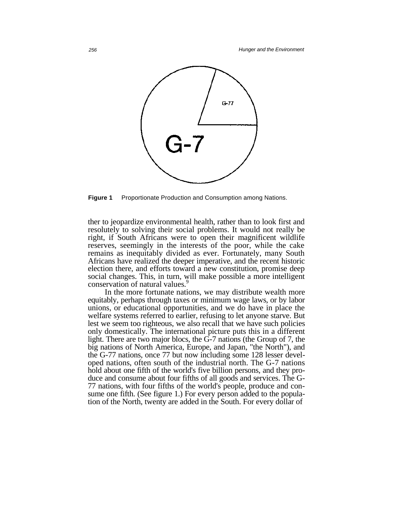*256 Hunger and the Environment*



**Figure 1** Proportionate Production and Consumption among Nations.

ther to jeopardize environmental health, rather than to look first and resolutely to solving their social problems. It would not really be right, if South Africans were to open their magnificent wildlife reserves, seemingly in the interests of the poor, while the cake remains as inequitably divided as ever. Fortunately, many South Africans have realized the deeper imperative, and the recent historic election there, and efforts toward a new constitution, promise deep social changes. This, in turn, will make possible a more intelligent conservation of natural values.

In the more fortunate nations, we may distribute wealth more equitably, perhaps through taxes or minimum wage laws, or by labor unions, or educational opportunities, and we do have in place the welfare systems referred to earlier, refusing to let anyone starve. But lest we seem too righteous, we also recall that we have such policies only domestically. The international picture puts this in a different light. There are two major blocs, the G-7 nations (the Group of 7, the big nations of North America, Europe, and Japan, "the North"), and the G-77 nations, once 77 but now including some 128 lesser developed nations, often south of the industrial north. The G-7 nations hold about one fifth of the world's five billion persons, and they produce and consume about four fifths of all goods and services. The G-77 nations, with four fifths of the world's people, produce and consume one fifth. (See figure 1.) For every person added to the population of the North, twenty are added in the South. For every dollar of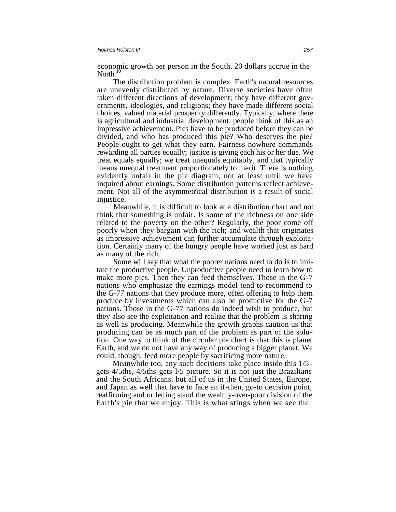economic growth per person in the South, 20 dollars accrue in the North.<sup>10</sup>

The distribution problem is complex. Earth's natural resources are unevenly distributed by nature. Diverse societies have often taken different directions of development; they have different governments, ideologies, and religions; they have made different social choices, valued material prosperity differently. Typically, where there is agricultural and industrial development, people think of this as an impressive achievement. Pies have to be produced before they can be divided, and who has produced this pie? Who deserves the pie? People ought to get what they earn. Fairness nowhere commands rewarding all parties equally; justice is giving each his or her due. We treat equals equally; we treat unequals equitably, and that typically means unequal treatment proportionately to merit. There is nothing evidently unfair in the pie diagram, not at least until we have inquired about earnings. Some distribution patterns reflect achievement. Not all of the asymmetrical distribution is a result of social injustice.

Meanwhile, it is difficult to look at a distribution chart and not think that something is unfair. Is some of the richness on one side related to the poverty on the other? Regularly, the poor come off poorly when they bargain with the rich; and wealth that originates as impressive achievement can further accumulate through exploitation. Certainly many of the hungry people have worked just as hard as many of the rich.

Some will say that what the poorer nations need to do is to imitate the productive people. Unproductive people need to learn how to make more pies. Then they can feed themselves. Those in the G-7 nations who emphasize the earnings model tend to recommend to the G-77 nations that they produce more, often offering to help them produce by investments which can also be productive for the G-7 nations. Those in the G-77 nations do indeed wish to produce, but they also see the exploitation and realize that the problem is sharing as well as producing. Meanwhile the growth graphs caution us that producing can be as much part of the problem as part of the solution. One way to think of the circular pie chart is that this is planet Earth, and we do not have any way of producing a bigger planet. We could, though, feed more people by sacrificing more nature.

Meanwhile too, any such decisions take place inside this 1/5 gets-4/5ths, 4/5ths-gets-l/5 picture. So it is not just the Brazilians and the South Africans, but all of us in the United States, Europe, and Japan as well that have to face an if-then, go-to decision point, reaffirming and or letting stand the wealthy-over-poor division of the Earth's pie that we enjoy. This is what stings when we see the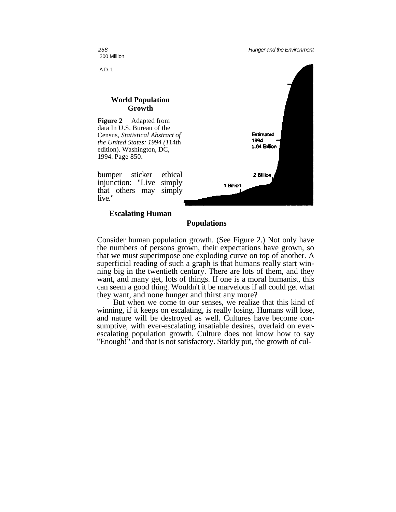*258 Hunger and the Environment*



# **Populations**

Consider human population growth. (See Figure 2.) Not only have the numbers of persons grown, their expectations have grown, so that we must superimpose one exploding curve on top of another. A superficial reading of such a graph is that humans really start winning big in the twentieth century. There are lots of them, and they want, and many get, lots of things. If one is a moral humanist, this can seem a good thing. Wouldn't it be marvelous if all could get what they want, and none hunger and thirst any more?

But when we come to our senses, we realize that this kind of winning, if it keeps on escalating, is really losing. Humans will lose, and nature will be destroyed as well. Cultures have become consumptive, with ever-escalating insatiable desires, overlaid on everescalating population growth. Culture does not know how to say "Enough!" and that is not satisfactory. Starkly put, the growth of cul-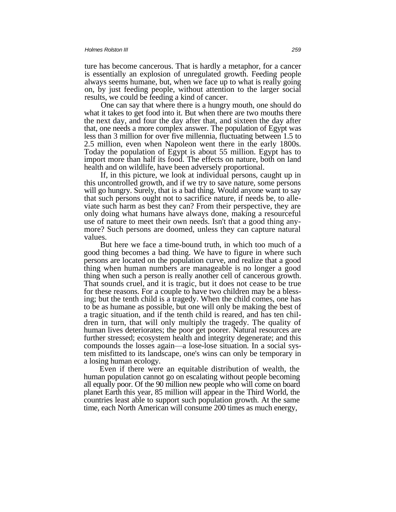#### *Holmes Rolston III 259*

ture has become cancerous. That is hardly a metaphor, for a cancer is essentially an explosion of unregulated growth. Feeding people always seems humane, but, when we face up to what is really going on, by just feeding people, without attention to the larger social results, we could be feeding a kind of cancer.

One can say that where there is a hungry mouth, one should do what it takes to get food into it. But when there are two mouths there the next day, and four the day after that, and sixteen the day after that, one needs a more complex answer. The population of Egypt was less than 3 million for over five millennia, fluctuating between 1.5 to 2.5 million, even when Napoleon went there in the early 1800s. Today the population of Egypt is about 55 million. Egypt has to import more than half its food. The effects on nature, both on land health and on wildlife, have been adversely proportional.

If, in this picture, we look at individual persons, caught up in this uncontrolled growth, and if we try to save nature, some persons will go hungry. Surely, that is a bad thing. Would anyone want to say that such persons ought not to sacrifice nature, if needs be, to alleviate such harm as best they can? From their perspective, they are only doing what humans have always done, making a resourceful use of nature to meet their own needs. Isn't that a good thing anymore? Such persons are doomed, unless they can capture natural values.

But here we face a time-bound truth, in which too much of a good thing becomes a bad thing. We have to figure in where such persons are located on the population curve, and realize that a good thing when human numbers are manageable is no longer a good thing when such a person is really another cell of cancerous growth. That sounds cruel, and it is tragic, but it does not cease to be true for these reasons. For a couple to have two children may be a blessing; but the tenth child is a tragedy. When the child comes, one has to be as humane as possible, but one will only be making the best of a tragic situation, and if the tenth child is reared, and has ten children in turn, that will only multiply the tragedy. The quality of human lives deteriorates; the poor get poorer. Natural resources are further stressed; ecosystem health and integrity degenerate; and this compounds the losses again—a lose-lose situation. In a social system misfitted to its landscape, one's wins can only be temporary in a losing human ecology.

Even if there were an equitable distribution of wealth, the human population cannot go on escalating without people becoming all equally poor. Of the 90 million new people who will come on board planet Earth this year, 85 million will appear in the Third World, the countries least able to support such population growth. At the same time, each North American will consume 200 times as much energy,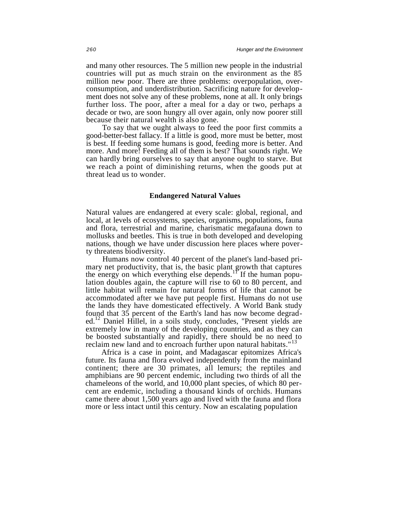and many other resources. The 5 million new people in the industrial countries will put as much strain on the environment as the 85 million new poor. There are three problems: overpopulation, overconsumption, and underdistribution. Sacrificing nature for development does not solve any of these problems, none at all. It only brings further loss. The poor, after a meal for a day or two, perhaps a decade or two, are soon hungry all over again, only now poorer still because their natural wealth is also gone.

To say that we ought always to feed the poor first commits a good-better-best fallacy. If a little is good, more must be better, most is best. If feeding some humans is good, feeding more is better. And more. And more! Feeding all of them is best? That sounds right. We can hardly bring ourselves to say that anyone ought to starve. But we reach a point of diminishing returns, when the goods put at threat lead us to wonder.

## **Endangered Natural Values**

Natural values are endangered at every scale: global, regional, and local, at levels of ecosystems, species, organisms, populations, fauna and flora, terrestrial and marine, charismatic megafauna down to mollusks and beetles. This is true in both developed and developing nations, though we have under discussion here places where poverty threatens biodiversity.

Humans now control 40 percent of the planet's land-based primary net productivity, that is, the basic plant growth that captures the energy on which everything else depends.<sup>11</sup> If the human population doubles again, the capture will rise to 60 to 80 percent, and little habitat will remain for natural forms of life that cannot be accommodated after we have put people first. Humans do not use the lands they have domesticated effectively. A World Bank study found that 35 percent of the Earth's land has now become degraded.<sup>12</sup> Daniel Hillel, in a soils study, concludes, "Present yields are extremely low in many of the developing countries, and as they can be boosted substantially and rapidly, there should be no need to reclaim new land and to encroach further upon natural habitats."<sup>13</sup>

Africa is a case in point, and Madagascar epitomizes Africa's future. Its fauna and flora evolved independently from the mainland continent; there are 30 primates, all lemurs; the reptiles and amphibians are 90 percent endemic, including two thirds of all the chameleons of the world, and 10,000 plant species, of which 80 percent are endemic, including a thousand kinds of orchids. Humans came there about 1,500 years ago and lived with the fauna and flora more or less intact until this century. Now an escalating population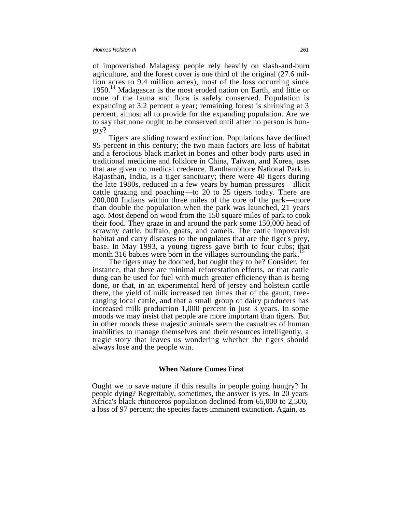of impoverished Malagasy people rely heavily on slash-and-burn agriculture, and the forest cover is one third of the original (27.6 million acres to 9.4 million acres), most of the loss occurring since  $1950<sup>14</sup>$  Madagascar is the most eroded nation on Earth, and little or none of the fauna and flora is safely conserved. Population is expanding at 3.2 percent a year; remaining forest is shrinking at 3 percent, almost all to provide for the expanding population. Are we to say that none ought to be conserved until after no person is hungry?

Tigers are sliding toward extinction. Populations have declined 95 percent in this century; the two main factors are loss of habitat and a ferocious black market in bones and other body parts used in traditional medicine and folklore in China, Taiwan, and Korea, uses that are given no medical credence. Ranthambhore National Park in Rajasthan, India, is a tiger sanctuary; there were 40 tigers during the late 1980s, reduced in a few years by human pressures—illicit cattle grazing and poaching—to 20 to 25 tigers today. There are 200,000 Indians within three miles of the core of the park—more than double the population when the park was launched, 21 years ago. Most depend on wood from the 150 square miles of park to cook their food. They graze in and around the park some 150,000 head of scrawny cattle, buffalo, goats, and camels. The cattle impoverish habitat and carry diseases to the ungulates that are the tiger's prey, base. In May 1993, a young tigress gave birth to four cubs; that month 316 behind were born in the village surrounding the park <sup>15</sup> month 316 babies were born in the villages surrounding the park.

The tigers may be doomed, but ought they to be? Consider, for instance, that there are minimal reforestation efforts, or that cattle dung can be used for fuel with much greater efficiency than is being done, or that, in an experimental herd of jersey and holstein cattle there, the yield of milk increased ten times that of the gaunt, freeranging local cattle, and that a small group of dairy producers has increased milk production 1,000 percent in just 3 years. In some moods we may insist that people are more important than tigers. But in other moods these majestic animals seem the casualties of human inabilities to manage themselves and their resources intelligently, a tragic story that leaves us wondering whether the tigers should always lose and the people win.

# **When Nature Comes First**

Ought we to save nature if this results in people going hungry? In people dying? Regrettably, sometimes, the answer is yes. In 20 years Africa's black rhinoceros population declined from 65,000 to 2,500, a loss of 97 percent; the species faces imminent extinction. Again, as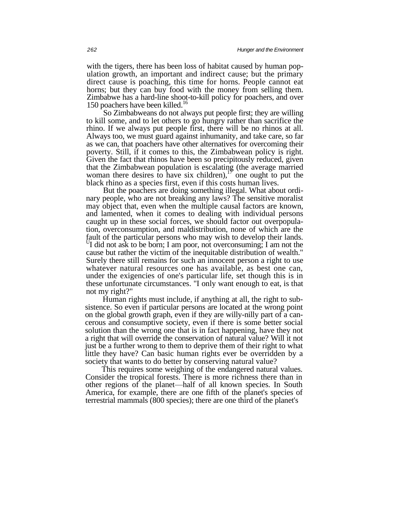with the tigers, there has been loss of habitat caused by human population growth, an important and indirect cause; but the primary direct cause is poaching, this time for horns. People cannot eat horns; but they can buy food with the money from selling them. Zimbabwe has a hard-line shoot-to-kill policy for poachers, and over 150 poachers have been killed.<sup>16</sup>

So Zimbabweans do not always put people first; they are willing to kill some, and to let others to go hungry rather than sacrifice the rhino. If we always put people first, there will be no rhinos at all. Always too, we must guard against inhumanity, and take care, so far as we can, that poachers have other alternatives for overcoming their poverty. Still, if it comes to this, the Zimbabwean policy is right. Given the fact that rhinos have been so precipitously reduced, given that the Zimbabwean population is escalating (the average married woman there desires to have six children), $17$  one ought to put the black rhino as a species first, even if this costs human lives.

But the poachers are doing something illegal. What about ordinary people, who are not breaking any laws? The sensitive moralist may object that, even when the multiple causal factors are known, and lamented, when it comes to dealing with individual persons caught up in these social forces, we should factor out overpopulation, overconsumption, and maldistribution, none of which are the fault of the particular persons who may wish to develop their lands. UI did not ask to be born; I am poor, not overconsuming; I am not the cause but rather the victim of the inequitable distribution of wealth." Surely there still remains for such an innocent person a right to use whatever natural resources one has available, as best one can, under the exigencies of one's particular life, set though this is in these unfortunate circumstances. "I only want enough to eat, is that not my right?"

Human rights must include, if anything at all, the right to subsistence. So even if particular persons are located at the wrong point on the global growth graph, even if they are willy-nilly part of a cancerous and consumptive society, even if there is some better social solution than the wrong one that is in fact happening, have they not a right that will override the conservation of natural value? Will it not just be a further wrong to them to deprive them of their right to what little they have? Can basic human rights ever be overridden by a society that wants to do better by conserving natural value?

This requires some weighing of the endangered natural values. Consider the tropical forests. There is more richness there than in other regions of the planet—half of all known species. In South America, for example, there are one fifth of the planet's species of terrestrial mammals (800 species); there are one third of the planet's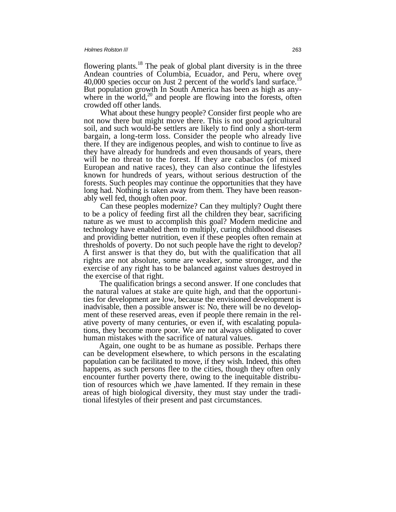#### *Holmes Rolston* /// 263

flowering plants.<sup>18</sup> The peak of global plant diversity is in the three Andean countries of Columbia, Ecuador, and Peru, where over 40,000 species occur on Just 2 percent of the world's land surface.<sup>19</sup> But population growth In South America has been as high as anywhere in the world, $20$  and people are flowing into the forests, often crowded off other lands.

What about these hungry people? Consider first people who are not now there but might move there. This is not good agricultural soil, and such would-be settlers are likely to find only a short-term bargain, a long-term loss. Consider the people who already live there. If they are indigenous peoples, and wish to continue to live as they have already for hundreds and even thousands of years, there will be no threat to the forest. If they are cabaclos (of mixed European and native races), they can also continue the lifestyles known for hundreds of years, without serious destruction of the forests. Such peoples may continue the opportunities that they have long had. Nothing is taken away from them. They have been reasonably well fed, though often poor.

Can these peoples modernize? Can they multiply? Ought there to be a policy of feeding first all the children they bear, sacrificing nature as we must to accomplish this goal? Modern medicine and technology have enabled them to multiply, curing childhood diseases and providing better nutrition, even if these peoples often remain at thresholds of poverty. Do not such people have the right to develop? A first answer is that they do, but with the qualification that all rights are not absolute, some are weaker, some stronger, and the exercise of any right has to be balanced against values destroyed in the exercise of that right.

The qualification brings a second answer. If one concludes that the natural values at stake are quite high, and that the opportunities for development are low, because the envisioned development is inadvisable, then a possible answer is: No, there will be no development of these reserved areas, even if people there remain in the relative poverty of many centuries, or even if, with escalating populations, they become more poor. We are not always obligated to cover human mistakes with the sacrifice of natural values.

Again, one ought to be as humane as possible. Perhaps there can be development elsewhere, to which persons in the escalating population can be facilitated to move, if they wish. Indeed, this often happens, as such persons flee to the cities, though they often only encounter further poverty there, owing to the inequitable distribution of resources which we ,have lamented. If they remain in these areas of high biological diversity, they must stay under the traditional lifestyles of their present and past circumstances.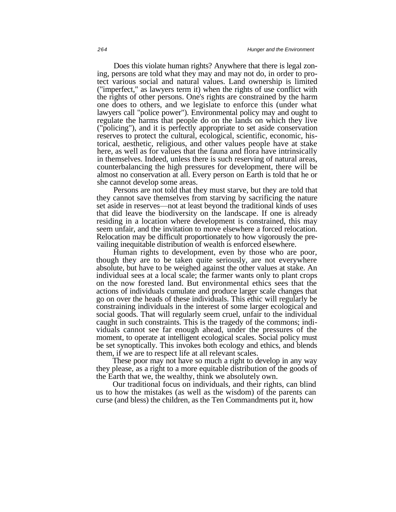Does this violate human rights? Anywhere that there is legal zoning, persons are told what they may and may not do, in order to protect various social and natural values. Land ownership is limited ("imperfect," as lawyers term it) when the rights of use conflict with the rights of other persons. One's rights are constrained by the harm one does to others, and we legislate to enforce this (under what lawyers call "police power"). Environmental policy may and ought to regulate the harms that people do on the lands on which they live ("policing"), and it is perfectly appropriate to set aside conservation reserves to protect the cultural, ecological, scientific, economic, historical, aesthetic, religious, and other values people have at stake here, as well as for values that the fauna and flora have intrinsically in themselves. Indeed, unless there is such reserving of natural areas, counterbalancing the high pressures for development, there will be almost no conservation at all. Every person on Earth is told that he or she cannot develop some areas.

Persons are not told that they must starve, but they are told that they cannot save themselves from starving by sacrificing the nature set aside in reserves—not at least beyond the traditional kinds of uses that did leave the biodiversity on the landscape. If one is already residing in a location where development is constrained, this may seem unfair, and the invitation to move elsewhere a forced relocation. Relocation may be difficult proportionately to how vigorously the prevailing inequitable distribution of wealth is enforced elsewhere.

Human rights to development, even by those who are poor, though they are to be taken quite seriously, are not everywhere absolute, but have to be weighed against the other values at stake. An individual sees at a local scale; the farmer wants only to plant crops on the now forested land. But environmental ethics sees that the actions of individuals cumulate and produce larger scale changes that go on over the heads of these individuals. This ethic will regularly be constraining individuals in the interest of some larger ecological and social goods. That will regularly seem cruel, unfair to the individual caught in such constraints. This is the tragedy of the commons; individuals cannot see far enough ahead, under the pressures of the moment, to operate at intelligent ecological scales. Social policy must be set synoptically. This invokes both ecology and ethics, and blends them, if we are to respect life at all relevant scales.

These poor may not have so much a right to develop in any way they please, as a right to a more equitable distribution of the goods of the Earth that we, the wealthy, think we absolutely own.

Our traditional focus on individuals, and their rights, can blind us to how the mistakes (as well as the wisdom) of the parents can curse (and bless) the children, as the Ten Commandments put it, how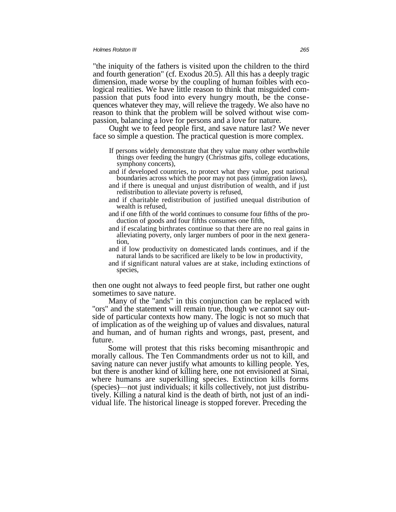#### *Holmes Rolston III 265*

"the iniquity of the fathers is visited upon the children to the third and fourth generation" (cf. Exodus 20.5). All this has a deeply tragic dimension, made worse by the coupling of human foibles with ecological realities. We have little reason to think that misguided compassion that puts food into every hungry mouth, be the consequences whatever they may, will relieve the tragedy. We also have no reason to think that the problem will be solved without wise compassion, balancing a love for persons and a love for nature.

Ought we to feed people first, and save nature last? We never face so simple a question. The practical question is more complex.

- If persons widely demonstrate that they value many other worthwhile things over feeding the hungry (Christmas gifts, college educations, symphony concerts),
- and if developed countries, to protect what they value, post national boundaries across which the poor may not pass (immigration laws),
- and if there is unequal and unjust distribution of wealth, and if just redistribution to alleviate poverty is refused,
- and if charitable redistribution of justified unequal distribution of wealth is refused,
- and if one fifth of the world continues to consume four fifths of the production of goods and four fifths consumes one fifth,
- and if escalating birthrates continue so that there are no real gains in alleviating poverty, only larger numbers of poor in the next generation,
- and if low productivity on domesticated lands continues, and if the natural lands to be sacrificed are likely to be low in productivity,
- and if significant natural values are at stake, including extinctions of species,

then one ought not always to feed people first, but rather one ought sometimes to save nature.

Many of the "ands" in this conjunction can be replaced with "ors" and the statement will remain true, though we cannot say outside of particular contexts how many. The logic is not so much that of implication as of the weighing up of values and disvalues, natural and human, and of human rights and wrongs, past, present, and future.

Some will protest that this risks becoming misanthropic and morally callous. The Ten Commandments order us not to kill, and saving nature can never justify what amounts to killing people. Yes, but there is another kind of killing here, one not envisioned at Sinai, where humans are superkilling species. Extinction kills forms (species)—not just individuals; it kills collectively, not just distributively. Killing a natural kind is the death of birth, not just of an individual life. The historical lineage is stopped forever. Preceding the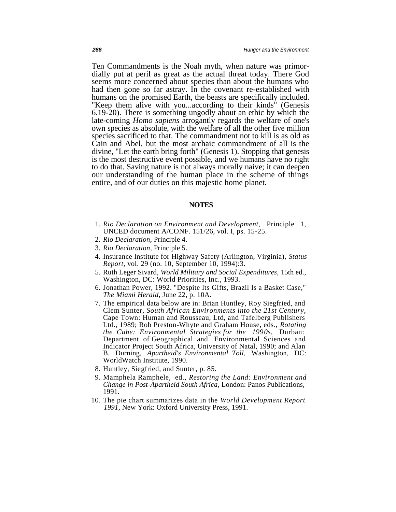Ten Commandments is the Noah myth, when nature was primordially put at peril as great as the actual threat today. There God seems more concerned about species than about the humans who had then gone so far astray. In the covenant re-established with humans on the promised Earth, the beasts are specifically included. "Keep them alive with you...according to their kinds" (Genesis 6.19-20). There is something ungodly about an ethic by which the late-coming *Homo sapiens* arrogantly regards the welfare of one's own species as absolute, with the welfare of all the other five million species sacrificed to that. The commandment not to kill is as old as Cain and Abel, but the most archaic commandment of all is the divine, "Let the earth bring forth" (Genesis 1). Stopping that genesis is the most destructive event possible, and we humans have no right to do that. Saving nature is not always morally naive; it can deepen our understanding of the human place in the scheme of things entire, and of our duties on this majestic home planet.

#### **NOTES**

- 1. *Rio Declaration on Environment and Development,* Principle 1, UNCED document A/CONF. 151/26, vol. I, ps. 15-25.
- 2. *Rio Declaration,* Principle 4.
- 3. *Rio Declaration,* Principle 5.
- 4. Insurance Institute for Highway Safety (Arlington, Virginia), *Status Report,* vol. 29 (no. 10, September 10, 1994):3.
- 5. Ruth Leger Sivard, *World Military and Social Expenditures,* 15th ed., Washington, DC: World Priorities, Inc., 1993.
- 6. Jonathan Power, 1992. "Despite Its Gifts, Brazil Is a Basket Case," *The Miami Herald,* June 22, p. 10A.
- 7. The empirical data below are in: Brian Huntley, Roy Siegfried, and Clem Sunter, *South African Environments into the 21st Century,* Cape Town: Human and Rousseau, Ltd, and Tafelberg Publishers Ltd., 1989; Rob Preston-Whyte and Graham House, eds., *Rotating the Cube: Environmental Strategies for the 1990s,* Durban: Department of Geographical and Environmental Sciences and Indicator Project South Africa, University of Natal, 1990; and Alan B. Durning, *Apartheid's Environmental Toll,* Washington, DC: WorldWatch Institute, 1990.
- 8. Huntley, Siegfried, and Sunter, p. 85.
- 9. Mamphela Ramphele, ed., *Restoring the Land: Environment and Change in Post-Apartheid South Africa,* London: Panos Publications, 1991.
- 10. The pie chart summarizes data in the *World Development Report 1991,* New York: Oxford University Press, 1991.